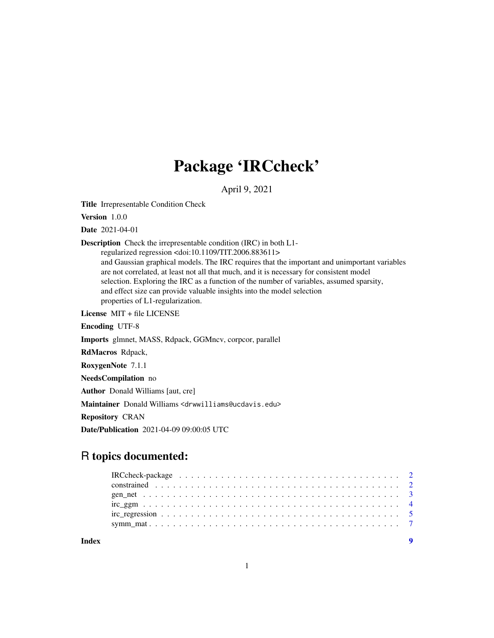# Package 'IRCcheck'

April 9, 2021

Title Irrepresentable Condition Check

Version 1.0.0

Date 2021-04-01

Description Check the irrepresentable condition (IRC) in both L1-

regularized regression <doi:10.1109/TIT.2006.883611> and Gaussian graphical models. The IRC requires that the important and unimportant variables are not correlated, at least not all that much, and it is necessary for consistent model selection. Exploring the IRC as a function of the number of variables, assumed sparsity, and effect size can provide valuable insights into the model selection properties of L1-regularization.

License MIT + file LICENSE

Encoding UTF-8

Imports glmnet, MASS, Rdpack, GGMncv, corpcor, parallel

RdMacros Rdpack,

RoxygenNote 7.1.1

NeedsCompilation no

Author Donald Williams [aut, cre]

Maintainer Donald Williams <drwwilliams@ucdavis.edu>

Repository CRAN

Date/Publication 2021-04-09 09:00:05 UTC

# R topics documented:

**Index** [9](#page-8-0)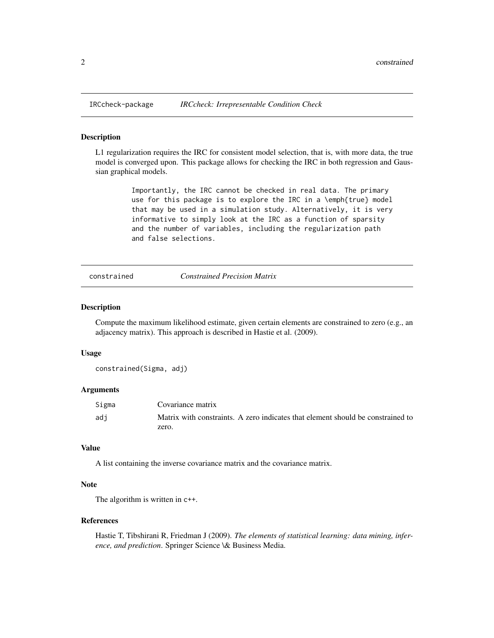#### Description

L1 regularization requires the IRC for consistent model selection, that is, with more data, the true model is converged upon. This package allows for checking the IRC in both regression and Gaussian graphical models.

> Importantly, the IRC cannot be checked in real data. The primary use for this package is to explore the IRC in a \emph{true} model that may be used in a simulation study. Alternatively, it is very informative to simply look at the IRC as a function of sparsity and the number of variables, including the regularization path and false selections.

constrained *Constrained Precision Matrix*

#### Description

Compute the maximum likelihood estimate, given certain elements are constrained to zero (e.g., an adjacency matrix). This approach is described in Hastie et al. (2009).

#### Usage

constrained(Sigma, adj)

# Arguments

| Sigma | Covariance matrix                                                               |
|-------|---------------------------------------------------------------------------------|
| adi   | Matrix with constraints. A zero indicates that element should be constrained to |
|       | zero.                                                                           |

### Value

A list containing the inverse covariance matrix and the covariance matrix.

#### Note

The algorithm is written in c++.

#### References

Hastie T, Tibshirani R, Friedman J (2009). *The elements of statistical learning: data mining, inference, and prediction*. Springer Science \& Business Media.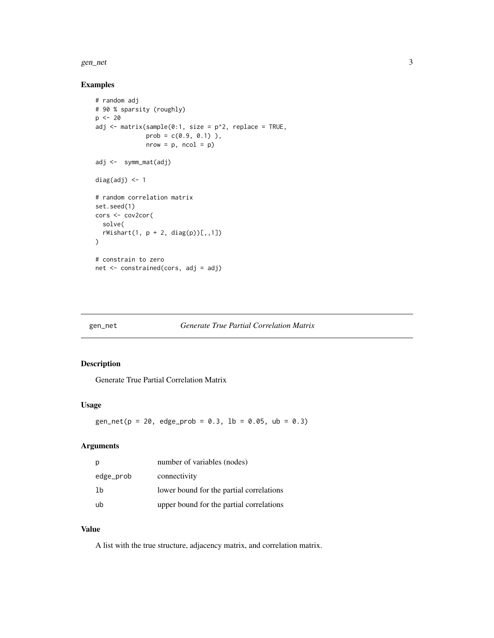<span id="page-2-0"></span>gen\_net 3

# Examples

```
# random adj
# 90 % sparsity (roughly)
p \le -20adj <- matrix(sample(0:1, size = p^2, replace = TRUE,
              prob = c(0.9, 0.1)),
              nrow = p, ncol = p)
adj <- symm_mat(adj)
diag(adj) <- 1
# random correlation matrix
set.seed(1)
cors <- cov2cor(
  solve(
  rWishart(1, p + 2, diag(p))[1, 1])
# constrain to zero
net <- constrained(cors, adj = adj)
```
# gen\_net *Generate True Partial Correlation Matrix*

# Description

Generate True Partial Correlation Matrix

# Usage

 $gen_{net}(p = 20, edge_{prob} = 0.3, lb = 0.05, ub = 0.3)$ 

# Arguments

| р         | number of variables (nodes)              |
|-----------|------------------------------------------|
| edge_prob | connectivity                             |
| 1b        | lower bound for the partial correlations |
| ub        | upper bound for the partial correlations |

#### Value

A list with the true structure, adjacency matrix, and correlation matrix.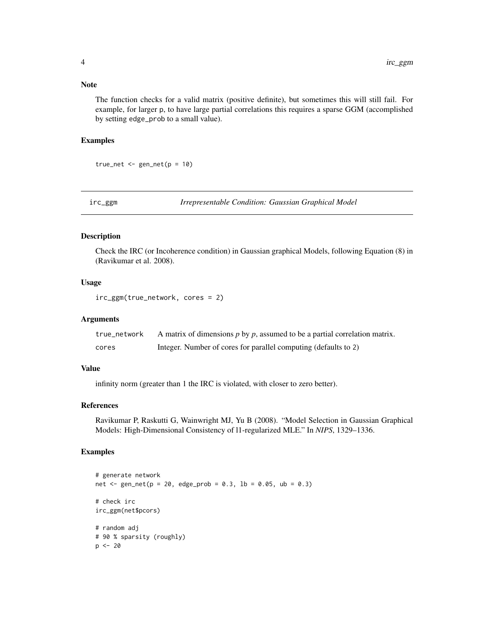### <span id="page-3-0"></span>Note

The function checks for a valid matrix (positive definite), but sometimes this will still fail. For example, for larger p, to have large partial correlations this requires a sparse GGM (accomplished by setting edge\_prob to a small value).

#### Examples

true\_net <-  $gen_{net}(p = 10)$ 

irc\_ggm *Irrepresentable Condition: Gaussian Graphical Model*

### Description

Check the IRC (or Incoherence condition) in Gaussian graphical Models, following Equation (8) in (Ravikumar et al. 2008).

# Usage

irc\_ggm(true\_network, cores = 2)

# Arguments

| true network | A matrix of dimensions $p$ by $p$ , assumed to be a partial correlation matrix. |
|--------------|---------------------------------------------------------------------------------|
| cores        | Integer. Number of cores for parallel computing (defaults to 2)                 |

# Value

infinity norm (greater than 1 the IRC is violated, with closer to zero better).

### References

Ravikumar P, Raskutti G, Wainwright MJ, Yu B (2008). "Model Selection in Gaussian Graphical Models: High-Dimensional Consistency of l1-regularized MLE." In *NIPS*, 1329–1336.

# Examples

```
# generate network
net <- gen_net(p = 20, edge_prob = 0.3, lb = 0.05, ub = 0.3)
# check irc
irc_ggm(net$pcors)
# random adj
# 90 % sparsity (roughly)
p \le -20
```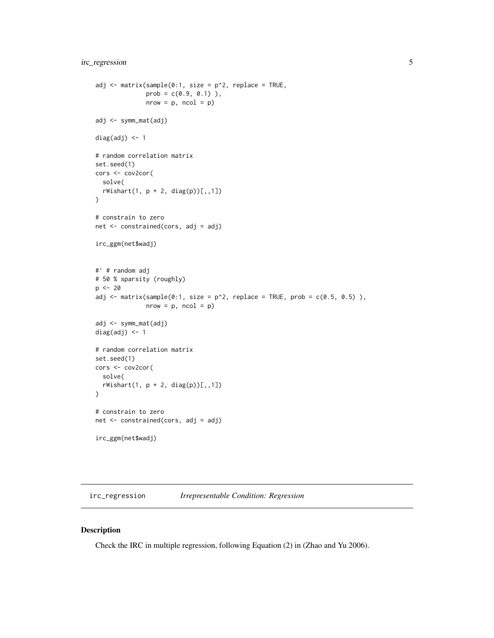```
adj <- matrix(sample(0:1, size = p^2, replace = TRUE,
              prob = c(0.9, 0.1)),
              nrow = p, ncol = p)adj <- symm_mat(adj)
diag(adj) <- 1
# random correlation matrix
set.seed(1)
cors <- cov2cor(
  solve(
  rWishart(1, p + 2, diag(p))[1, 1]\mathcal{L}# constrain to zero
net <- constrained(cors, adj = adj)
irc_ggm(net$wadj)
#' # random adj
# 50 % sparsity (roughly)
p <- 20
adj <- matrix(sample(0:1, size = p^2, replace = TRUE, prob = c(0.5, 0.5)),
              nrow = p, ncol = p)adj <- symm_mat(adj)
diag(adj) <- 1
# random correlation matrix
set.seed(1)
cors <- cov2cor(
  solve(
  rWishart(1, p + 2, diag(p))[1, 1]\mathcal{L}# constrain to zero
net <- constrained(cors, adj = adj)
irc_ggm(net$wadj)
```
irc\_regression *Irrepresentable Condition: Regression*

# Description

Check the IRC in multiple regression, following Equation (2) in (Zhao and Yu 2006).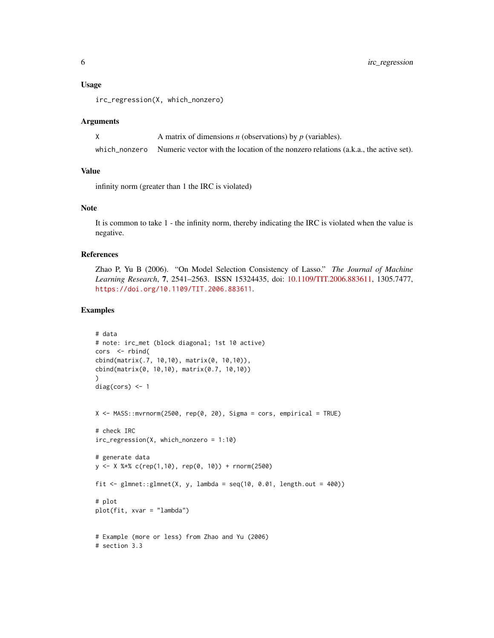#### Usage

irc\_regression(X, which\_nonzero)

#### **Arguments**

| A matrix of dimensions $n$ (observations) by $p$ (variables).                                     |
|---------------------------------------------------------------------------------------------------|
| which nonzero Numeric vector with the location of the nonzero relations (a.k.a., the active set). |

#### Value

infinity norm (greater than 1 the IRC is violated)

# Note

It is common to take 1 - the infinity norm, thereby indicating the IRC is violated when the value is negative.

# References

Zhao P, Yu B (2006). "On Model Selection Consistency of Lasso." *The Journal of Machine Learning Research*, 7, 2541–2563. ISSN 15324435, doi: [10.1109/TIT.2006.883611,](https://doi.org/10.1109/TIT.2006.883611) 1305.7477, <https://doi.org/10.1109/TIT.2006.883611>.

### Examples

```
# data
# note: irc_met (block diagonal; 1st 10 active)
cors <- rbind(
cbind(matrix(.7, 10,10), matrix(0, 10,10)),
cbind(matrix(0, 10,10), matrix(0.7, 10,10))
)
diag(cors) <-1X \le - MASS::mvrnorm(2500, rep(0, 20), Sigma = cors, empirical = TRUE)
# check IRC
irc_regression(X, which_nonzero = 1:10)
# generate data
y <- X %*% c(rep(1,10), rep(0, 10)) + rnorm(2500)
fit \le glmnet::glmnet(X, y, lambda = seq(10, 0.01, length.out = 400))
# plot
plot(fit, xvar = "lambda")
# Example (more or less) from Zhao and Yu (2006)
# section 3.3
```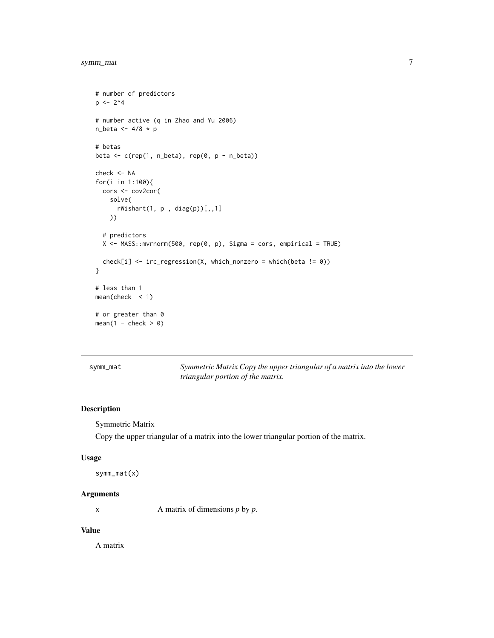```
# number of predictors
p \le -2^4# number active (q in Zhao and Yu 2006)
n_beta <- 4/8 * p
# betas
beta \leq c(rep(1, n_beta), rep(0, p - n_beta))
check <- NA
for(i in 1:100){
  cors <- cov2cor(
    solve(
      rWishart(1, p, diag(p))[, 1]))
  # predictors
  X <- MASS::mvrnorm(500, rep(0, p), Sigma = cors, empirical = TRUE)
  check[i] <- irc_regression(X, which_nonzero = which(beta != 0))
}
# less than 1
mean(check < 1)
# or greater than 0
mean(1 - check > 0)
```

| symm_mat |  |
|----------|--|
|          |  |

symm\_mat *Symmetric Matrix Copy the upper triangular of a matrix into the lower triangular portion of the matrix.*

# Description

Symmetric Matrix

Copy the upper triangular of a matrix into the lower triangular portion of the matrix.

#### Usage

```
symm_mat(x)
```
# Arguments

x A matrix of dimensions *p* by *p*.

# Value

A matrix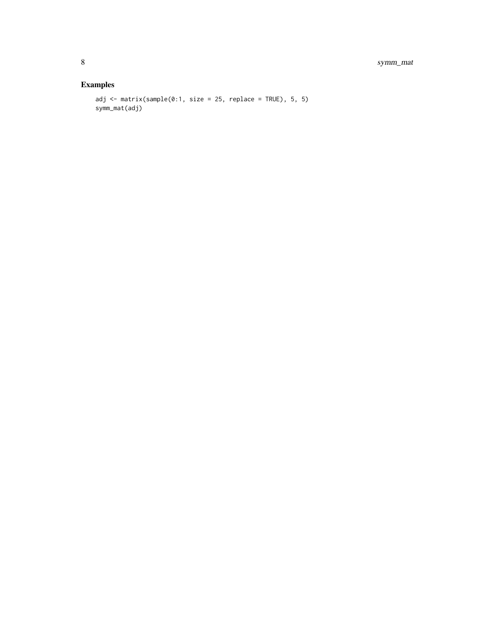# Examples

```
adj <- matrix(sample(0:1, size = 25, replace = TRUE), 5, 5)
symm_mat(adj)
```